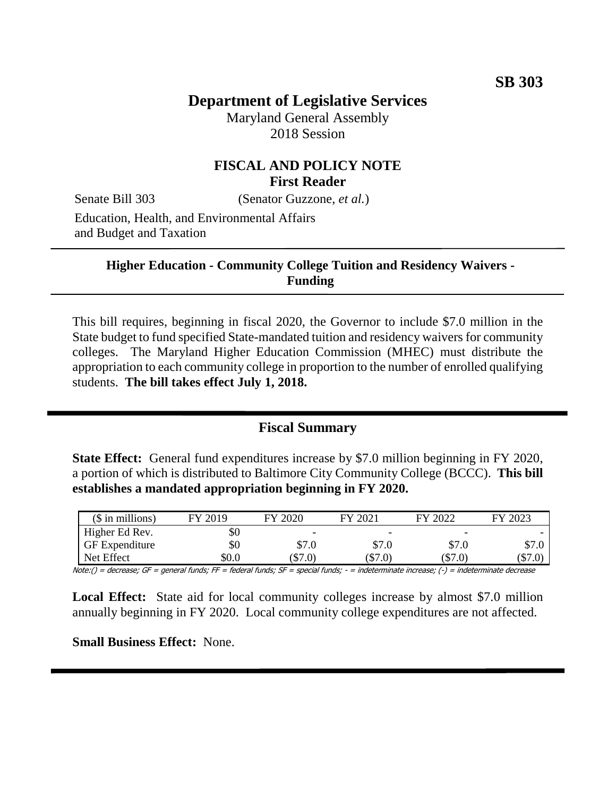# **Department of Legislative Services**

Maryland General Assembly 2018 Session

## **FISCAL AND POLICY NOTE First Reader**

Senate Bill 303 (Senator Guzzone, *et al.*)

Education, Health, and Environmental Affairs and Budget and Taxation

#### **Higher Education - Community College Tuition and Residency Waivers - Funding**

This bill requires, beginning in fiscal 2020, the Governor to include \$7.0 million in the State budget to fund specified State-mandated tuition and residency waivers for community colleges. The Maryland Higher Education Commission (MHEC) must distribute the appropriation to each community college in proportion to the number of enrolled qualifying students. **The bill takes effect July 1, 2018.**

## **Fiscal Summary**

**State Effect:** General fund expenditures increase by \$7.0 million beginning in FY 2020, a portion of which is distributed to Baltimore City Community College (BCCC). **This bill establishes a mandated appropriation beginning in FY 2020.**

| $($$ in millions)     | FY 2019 | FY 2020   | FY 2021                  | FY 2022   | 2023<br>FV |
|-----------------------|---------|-----------|--------------------------|-----------|------------|
| Higher Ed Rev.        | \$0     | -         | $\overline{\phantom{0}}$ | -         |            |
| <b>GF</b> Expenditure | \$0     | \$7.0     | \$7.0                    | \$7.0     | \$7.0      |
| Net Effect            | \$0.0   | $(\$7.0)$ | $(\$7.0)$                | $(\$7.0)$ | $\$7.0)$   |

Note:() = decrease; GF = general funds; FF = federal funds; SF = special funds; - = indeterminate increase; (-) = indeterminate decrease

Local Effect: State aid for local community colleges increase by almost \$7.0 million annually beginning in FY 2020. Local community college expenditures are not affected.

**Small Business Effect:** None.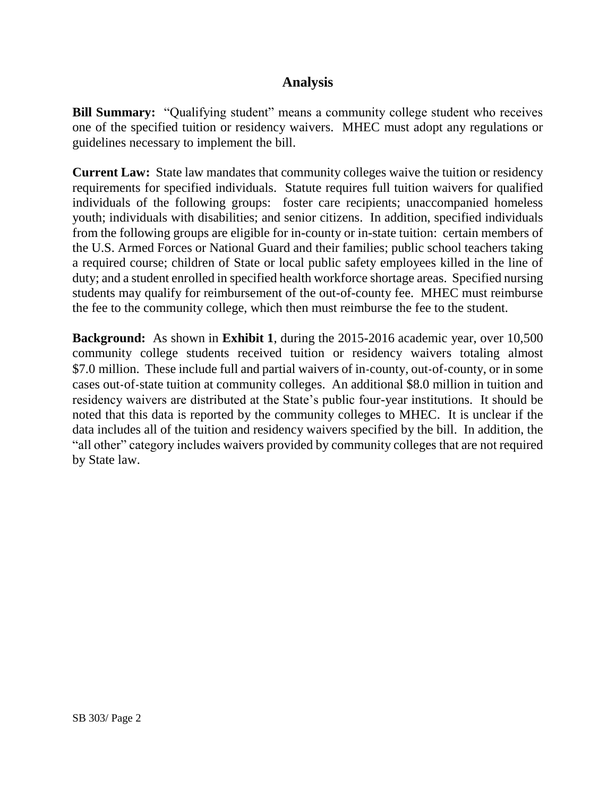## **Analysis**

**Bill Summary:** "Qualifying student" means a community college student who receives one of the specified tuition or residency waivers. MHEC must adopt any regulations or guidelines necessary to implement the bill.

**Current Law:** State law mandates that community colleges waive the tuition or residency requirements for specified individuals. Statute requires full tuition waivers for qualified individuals of the following groups: foster care recipients; unaccompanied homeless youth; individuals with disabilities; and senior citizens. In addition, specified individuals from the following groups are eligible for in-county or in-state tuition: certain members of the U.S. Armed Forces or National Guard and their families; public school teachers taking a required course; children of State or local public safety employees killed in the line of duty; and a student enrolled in specified health workforce shortage areas. Specified nursing students may qualify for reimbursement of the out-of-county fee. MHEC must reimburse the fee to the community college, which then must reimburse the fee to the student.

**Background:** As shown in **Exhibit 1**, during the 2015-2016 academic year, over 10,500 community college students received tuition or residency waivers totaling almost \$7.0 million. These include full and partial waivers of in-county, out-of-county, or in some cases out-of-state tuition at community colleges. An additional \$8.0 million in tuition and residency waivers are distributed at the State's public four-year institutions. It should be noted that this data is reported by the community colleges to MHEC. It is unclear if the data includes all of the tuition and residency waivers specified by the bill. In addition, the "all other" category includes waivers provided by community colleges that are not required by State law.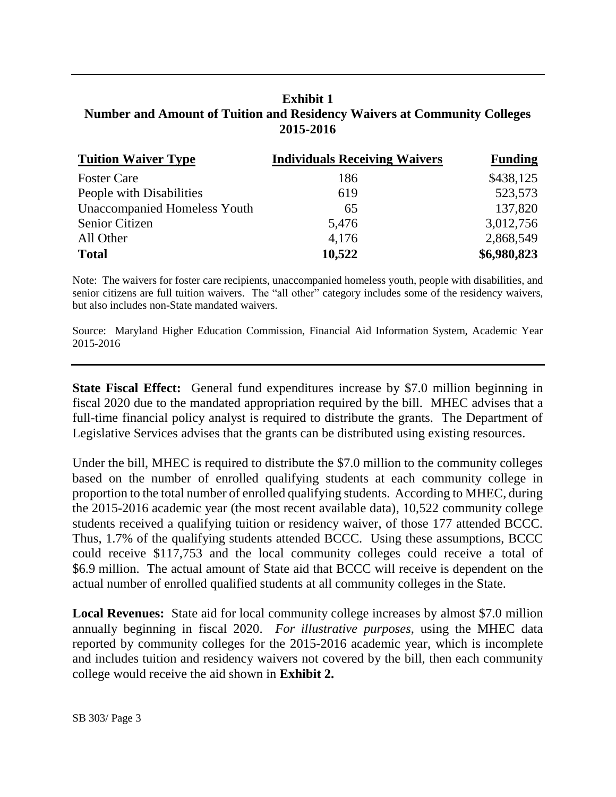#### **Exhibit 1 Number and Amount of Tuition and Residency Waivers at Community Colleges 2015-2016**

| <b>Tuition Waiver Type</b>          | <b>Individuals Receiving Waivers</b> | <b>Funding</b> |
|-------------------------------------|--------------------------------------|----------------|
| <b>Foster Care</b>                  | 186                                  | \$438,125      |
| People with Disabilities            | 619                                  | 523,573        |
| <b>Unaccompanied Homeless Youth</b> | 65                                   | 137,820        |
| Senior Citizen                      | 5,476                                | 3,012,756      |
| All Other                           | 4,176                                | 2,868,549      |
| <b>Total</b>                        | 10,522                               | \$6,980,823    |

Note: The waivers for foster care recipients, unaccompanied homeless youth, people with disabilities, and senior citizens are full tuition waivers. The "all other" category includes some of the residency waivers, but also includes non-State mandated waivers.

Source: Maryland Higher Education Commission, Financial Aid Information System, Academic Year 2015-2016

**State Fiscal Effect:** General fund expenditures increase by \$7.0 million beginning in fiscal 2020 due to the mandated appropriation required by the bill. MHEC advises that a full-time financial policy analyst is required to distribute the grants. The Department of Legislative Services advises that the grants can be distributed using existing resources.

Under the bill, MHEC is required to distribute the \$7.0 million to the community colleges based on the number of enrolled qualifying students at each community college in proportion to the total number of enrolled qualifying students. According to MHEC, during the 2015-2016 academic year (the most recent available data), 10,522 community college students received a qualifying tuition or residency waiver, of those 177 attended BCCC. Thus, 1.7% of the qualifying students attended BCCC. Using these assumptions, BCCC could receive \$117,753 and the local community colleges could receive a total of \$6.9 million. The actual amount of State aid that BCCC will receive is dependent on the actual number of enrolled qualified students at all community colleges in the State.

**Local Revenues:** State aid for local community college increases by almost \$7.0 million annually beginning in fiscal 2020. *For illustrative purposes*, using the MHEC data reported by community colleges for the 2015-2016 academic year, which is incomplete and includes tuition and residency waivers not covered by the bill, then each community college would receive the aid shown in **Exhibit 2.**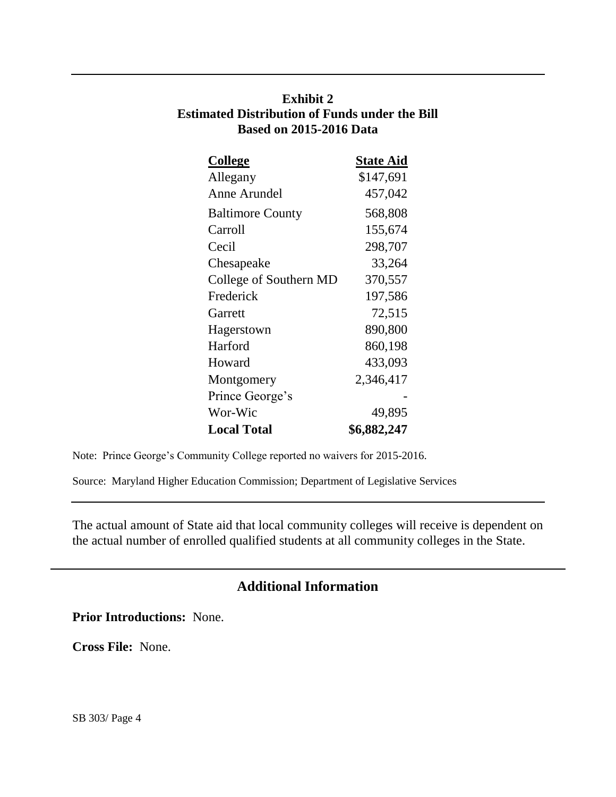## **Exhibit 2 Estimated Distribution of Funds under the Bill Based on 2015-2016 Data**

| College                 | <b>State Aid</b> |
|-------------------------|------------------|
| Allegany                | \$147,691        |
| Anne Arundel            | 457,042          |
| <b>Baltimore County</b> | 568,808          |
| Carroll                 | 155,674          |
| Cecil                   | 298,707          |
| Chesapeake              | 33,264           |
| College of Southern MD  | 370,557          |
| Frederick               | 197,586          |
| Garrett                 | 72,515           |
| Hagerstown              | 890,800          |
| Harford                 | 860,198          |
| Howard                  | 433,093          |
| Montgomery              | 2,346,417        |
| Prince George's         |                  |
| Wor-Wic                 | 49,895           |
| <b>Local Total</b>      | \$6,882,247      |

Note: Prince George's Community College reported no waivers for 2015-2016.

Source: Maryland Higher Education Commission; Department of Legislative Services

The actual amount of State aid that local community colleges will receive is dependent on the actual number of enrolled qualified students at all community colleges in the State.

## **Additional Information**

**Prior Introductions:** None.

**Cross File:** None.